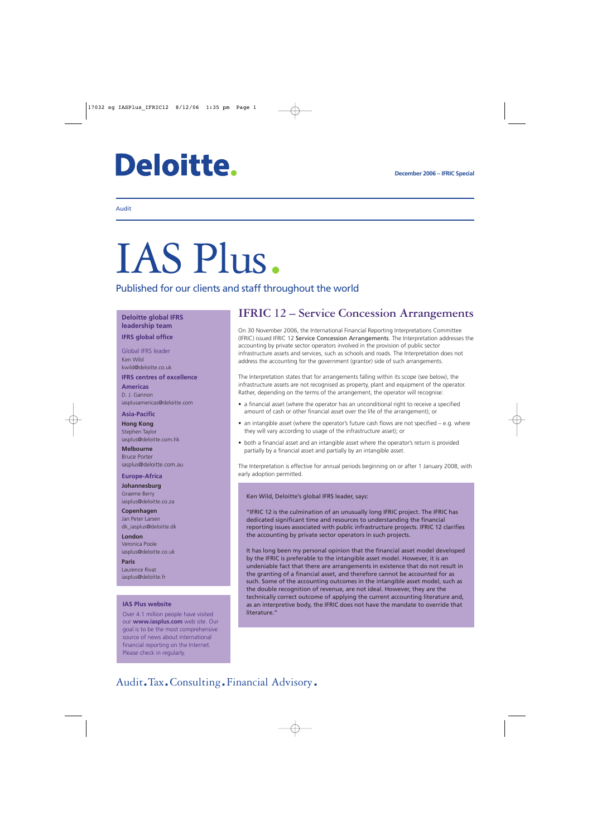# **Deloitte.**

#### Audit

# IAS Plus.

Published for our clients and staff throughout the world

**Deloitte global IFRS leadership team**

**IFRS global office**

Global IFRS leader Ken Wild kwild@deloitte.co.uk

**IFRS centres of excellence**

**Americas** D. J. Gannon iasplusamericas@deloitte.com

**Asia-Pacific**

**Hong Kong** Stephen Taylor iasplus@deloitte.com.hk

**Melbourne** Bruce Porter iasplus@deloitte.com.au

#### **Europe-Africa**

**Johannesburg** Graeme Berry iasplus@deloitte.co.za

**Copenhagen** Jan Peter Larsen [dk\\_iasplus@deloitte.dk](mailto:dk_iasplus@deloitte.dk)

**London** Veronica Poole iasplus@deloitte.co.uk

**Paris** Laurence Rivat iasplus@deloitte.fr

#### **IAS Plus website**

Over 4.1 million people have visited our **www.iasplus.com** web site. Our goal is to be the most comprehensive source of news about international financial reporting on the Internet. Please check in regularly.

### **IFRIC 12 – Service Concession Arrangements**

On 30 November 2006, the International Financial Reporting Interpretations Committee (IFRIC) issued IFRIC 12 Service Concession Arrangements. The Interpretation addresses the accounting by private sector operators involved in the provision of public sector infrastructure assets and services, such as schools and roads. The Interpretation does not address the accounting for the government (grantor) side of such arrangements.

The Interpretation states that for arrangements falling within its scope (see below), the infrastructure assets are not recognised as property, plant and equipment of the operator. Rather, depending on the terms of the arrangement, the operator will recognise:

- a financial asset (where the operator has an unconditional right to receive a specified amount of cash or other financial asset over the life of the arrangement); or
- an intangible asset (where the operator's future cash flows are not specified e.g. where they will vary according to usage of the infrastructure asset); or
- both a financial asset and an intangible asset where the operator's return is provided partially by a financial asset and partially by an intangible asset.

The Interpretation is effective for annual periods beginning on or after 1 January 2008, with early adoption permitted.

Ken Wild, Deloitte's global IFRS leader, says:

"IFRIC 12 is the culmination of an unusually long IFRIC project. The IFRIC has dedicated significant time and resources to understanding the financial reporting issues associated with public infrastructure projects. IFRIC 12 clarifies the accounting by private sector operators in such projects.

It has long been my personal opinion that the financial asset model developed by the IFRIC is preferable to the intangible asset model. However, it is an undeniable fact that there are arrangements in existence that do not result in the granting of a financial asset, and therefore cannot be accounted for as such. Some of the accounting outcomes in the intangible asset model, such as the double recognition of revenue, are not ideal. However, they are the technically correct outcome of applying the current accounting literature and, as an interpretive body, the IFRIC does not have the mandate to override that literature."

## Audit.Tax.Consulting.Financial Advisory.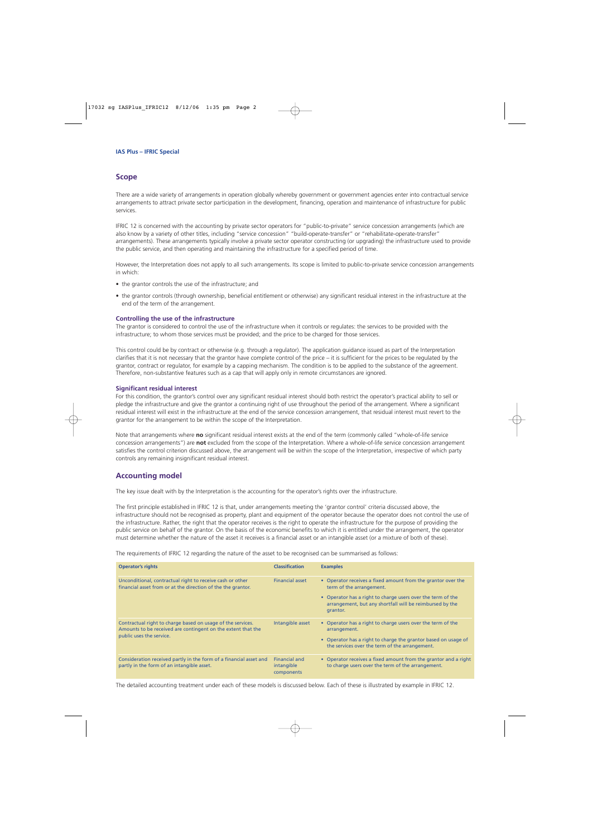#### **Scope**

There are a wide variety of arrangements in operation globally whereby government or government agencies enter into contractual service arrangements to attract private sector participation in the development, financing, operation and maintenance of infrastructure for public services.

IFRIC 12 is concerned with the accounting by private sector operators for "public-to-private" service concession arrangements (which are also know by a variety of other titles, including "service concession" "build-operate-transfer" or "rehabilitate-operate-transfer" arrangements). These arrangements typically involve a private sector operator constructing (or upgrading) the infrastructure used to provide the public service, and then operating and maintaining the infrastructure for a specified period of time.

However, the Interpretation does not apply to all such arrangements. Its scope is limited to public-to-private service concession arrangements in which:

- the grantor controls the use of the infrastructure; and
- the grantor controls (through ownership, beneficial entitlement or otherwise) any significant residual interest in the infrastructure at the end of the term of the arrangement.

#### **Controlling the use of the infrastructure**

The grantor is considered to control the use of the infrastructure when it controls or regulates: the services to be provided with the infrastructure; to whom those services must be provided; and the price to be charged for those services.

This control could be by contract or otherwise (e.g. through a regulator). The application guidance issued as part of the Interpretation clarifies that it is not necessary that the grantor have complete control of the price – it is sufficient for the prices to be regulated by the grantor, contract or regulator, for example by a capping mechanism. The condition is to be applied to the substance of the agreement. Therefore, non-substantive features such as a cap that will apply only in remote circumstances are ignored.

#### **Significant residual interest**

For this condition, the grantor's control over any significant residual interest should both restrict the operator's practical ability to sell or pledge the infrastructure and give the grantor a continuing right of use throughout the period of the arrangement. Where a significant residual interest will exist in the infrastructure at the end of the service concession arrangement, that residual interest must revert to the grantor for the arrangement to be within the scope of the Interpretation.

Note that arrangements where **no** significant residual interest exists at the end of the term (commonly called "whole-of-life service concession arrangements") are **not** excluded from the scope of the Interpretation. Where a whole-of-life service concession arrangement satisfies the control criterion discussed above, the arrangement will be within the scope of the Interpretation, irrespective of which party controls any remaining insignificant residual interest.

#### **Accounting model**

The key issue dealt with by the Interpretation is the accounting for the operator's rights over the infrastructure.

The first principle established in IFRIC 12 is that, under arrangements meeting the 'grantor control' criteria discussed above, the infrastructure should not be recognised as property, plant and equipment of the operator because the operator does not control the use of the infrastructure. Rather, the right that the operator receives is the right to operate the infrastructure for the purpose of providing the public service on behalf of the grantor. On the basis of the economic benefits to which it is entitled under the arrangement, the operator must determine whether the nature of the asset it receives is a financial asset or an intangible asset (or a mixture of both of these).

The requirements of IFRIC 12 regarding the nature of the asset to be recognised can be summarised as follows:

| <b>Operator's rights</b>                                                                                                                                | <b>Classification</b>                            | <b>Examples</b>                                                                                                                                                                                                                 |
|---------------------------------------------------------------------------------------------------------------------------------------------------------|--------------------------------------------------|---------------------------------------------------------------------------------------------------------------------------------------------------------------------------------------------------------------------------------|
| Unconditional, contractual right to receive cash or other<br>financial asset from or at the direction of the the grantor.                               | <b>Financial asset</b>                           | • Operator receives a fixed amount from the grantor over the<br>term of the arrangement.<br>• Operator has a right to charge users over the term of the<br>arrangement, but any shortfall will be reimbursed by the<br>grantor. |
| Contractual right to charge based on usage of the services.<br>Amounts to be received are contingent on the extent that the<br>public uses the service. | Intangible asset                                 | • Operator has a right to charge users over the term of the<br>arrangement.<br>• Operator has a right to charge the grantor based on usage of<br>the services over the term of the arrangement.                                 |
| Consideration received partly in the form of a financial asset and<br>partly in the form of an intangible asset.                                        | <b>Financial and</b><br>intangible<br>components | • Operator receives a fixed amount from the grantor and a right<br>to charge users over the term of the arrangement.                                                                                                            |

The detailed accounting treatment under each of these models is discussed below. Each of these is illustrated by example in IFRIC 12.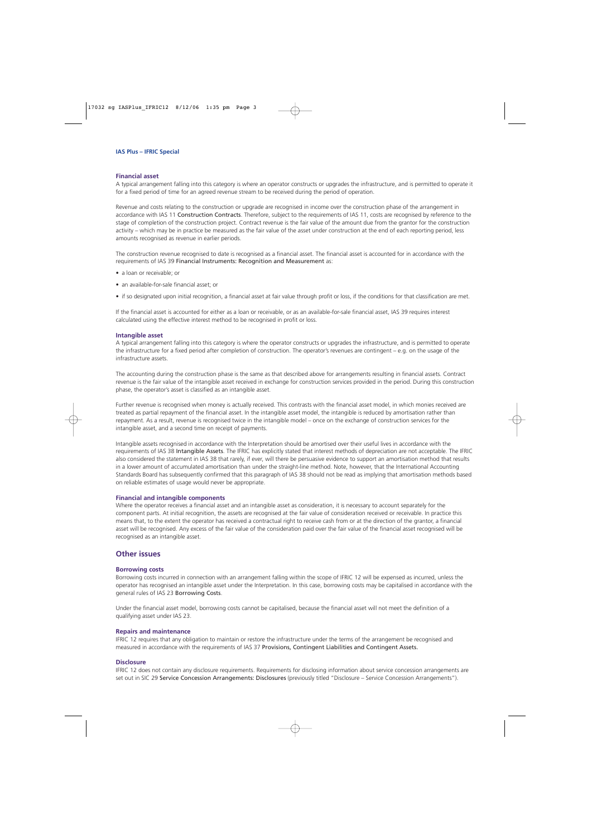#### **Financial asset**

A typical arrangement falling into this category is where an operator constructs or upgrades the infrastructure, and is permitted to operate it for a fixed period of time for an agreed revenue stream to be received during the period of operation.

Revenue and costs relating to the construction or upgrade are recognised in income over the construction phase of the arrangement in accordance with IAS 11 Construction Contracts. Therefore, subject to the requirements of IAS 11, costs are recognised by reference to the stage of completion of the construction project. Contract revenue is the fair value of the amount due from the grantor for the construction activity – which may be in practice be measured as the fair value of the asset under construction at the end of each reporting period, less amounts recognised as revenue in earlier periods.

The construction revenue recognised to date is recognised as a financial asset. The financial asset is accounted for in accordance with the requirements of IAS 39 Financial Instruments: Recognition and Measurement as:

- a loan or receivable; or
- an available-for-sale financial asset; or
- if so designated upon initial recognition, a financial asset at fair value through profit or loss, if the conditions for that classification are met.

If the financial asset is accounted for either as a loan or receivable, or as an available-for-sale financial asset, IAS 39 requires interest calculated using the effective interest method to be recognised in profit or loss.

#### **Intangible asset**

A typical arrangement falling into this category is where the operator constructs or upgrades the infrastructure, and is permitted to operate the infrastructure for a fixed period after completion of construction. The operator's revenues are contingent – e.g. on the usage of the infrastructure assets.

The accounting during the construction phase is the same as that described above for arrangements resulting in financial assets. Contract revenue is the fair value of the intangible asset received in exchange for construction services provided in the period. During this construction phase, the operator's asset is classified as an intangible asset.

Further revenue is recognised when money is actually received. This contrasts with the financial asset model, in which monies received are treated as partial repayment of the financial asset. In the intangible asset model, the intangible is reduced by amortisation rather than repayment. As a result, revenue is recognised twice in the intangible model – once on the exchange of construction services for the intangible asset, and a second time on receipt of payments.

Intangible assets recognised in accordance with the Interpretation should be amortised over their useful lives in accordance with the requirements of IAS 38 Intangible Assets. The IFRIC has explicitly stated that interest methods of depreciation are not acceptable. The IFRIC also considered the statement in IAS 38 that rarely, if ever, will there be persuasive evidence to support an amortisation method that results in a lower amount of accumulated amortisation than under the straight-line method. Note, however, that the International Accounting Standards Board has subsequently confirmed that this paragraph of IAS 38 should not be read as implying that amortisation methods based on reliable estimates of usage would never be appropriate.

#### **Financial and intangible components**

Where the operator receives a financial asset and an intangible asset as consideration, it is necessary to account separately for the component parts. At initial recognition, the assets are recognised at the fair value of consideration received or receivable. In practice this means that, to the extent the operator has received a contractual right to receive cash from or at the direction of the grantor, a financial asset will be recognised. Any excess of the fair value of the consideration paid over the fair value of the financial asset recognised will be recognised as an intangible asset.

#### **Other issues**

#### **Borrowing costs**

Borrowing costs incurred in connection with an arrangement falling within the scope of IFRIC 12 will be expensed as incurred, unless the operator has recognised an intangible asset under the Interpretation. In this case, borrowing costs may be capitalised in accordance with the general rules of IAS 23 Borrowing Costs.

Under the financial asset model, borrowing costs cannot be capitalised, because the financial asset will not meet the definition of a qualifying asset under IAS 23.

#### **Repairs and maintenance**

IFRIC 12 requires that any obligation to maintain or restore the infrastructure under the terms of the arrangement be recognised and measured in accordance with the requirements of IAS 37 Provisions, Contingent Liabilities and Contingent Assets.

#### **Disclosure**

IFRIC 12 does not contain any disclosure requirements. Requirements for disclosing information about service concession arrangements are set out in SIC 29 Service Concession Arrangements: Disclosures (previously titled "Disclosure – Service Concession Arrangements").